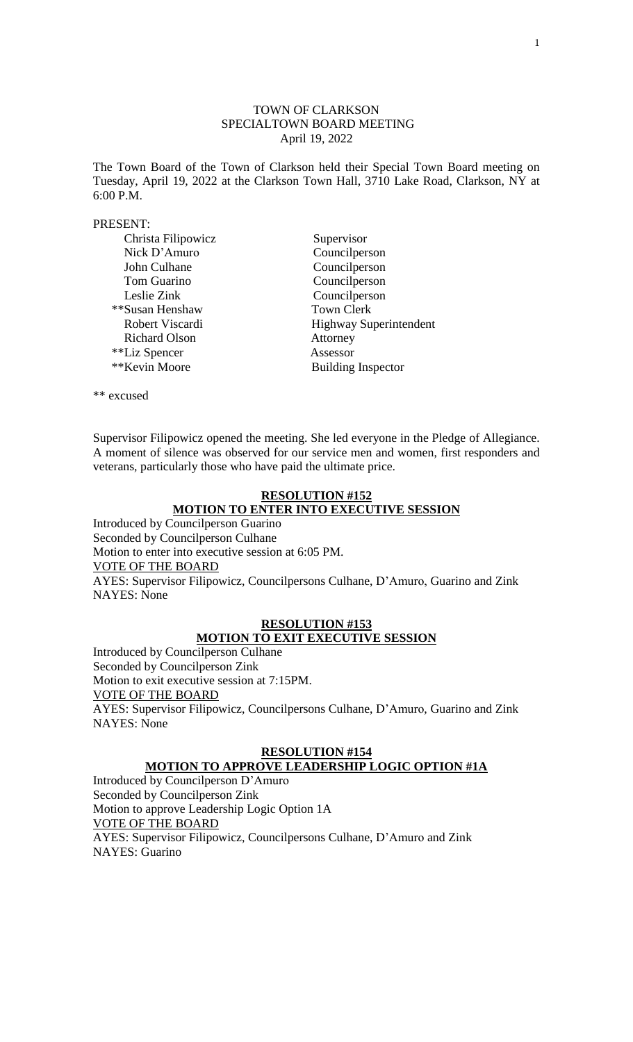## TOWN OF CLARKSON SPECIALTOWN BOARD MEETING April 19, 2022

The Town Board of the Town of Clarkson held their Special Town Board meeting on Tuesday, April 19, 2022 at the Clarkson Town Hall, 3710 Lake Road, Clarkson, NY at 6:00 P.M.

#### PRESENT:

| Christa Filipowicz   | Supervisor                    |
|----------------------|-------------------------------|
| Nick D'Amuro         | Councilperson                 |
| John Culhane         | Councilperson                 |
| Tom Guarino          | Councilperson                 |
| Leslie Zink          | Councilperson                 |
| **Susan Henshaw      | <b>Town Clerk</b>             |
| Robert Viscardi      | <b>Highway Superintendent</b> |
| <b>Richard Olson</b> | Attorney                      |
| **Liz Spencer        | Assessor                      |
| **Kevin Moore        | <b>Building Inspector</b>     |
|                      |                               |

\*\* excused

Supervisor Filipowicz opened the meeting. She led everyone in the Pledge of Allegiance. A moment of silence was observed for our service men and women, first responders and veterans, particularly those who have paid the ultimate price.

## **RESOLUTION #152 MOTION TO ENTER INTO EXECUTIVE SESSION**

Introduced by Councilperson Guarino Seconded by Councilperson Culhane Motion to enter into executive session at 6:05 PM. VOTE OF THE BOARD AYES: Supervisor Filipowicz, Councilpersons Culhane, D'Amuro, Guarino and Zink NAYES: None

#### **RESOLUTION #153 MOTION TO EXIT EXECUTIVE SESSION**

Introduced by Councilperson Culhane Seconded by Councilperson Zink Motion to exit executive session at 7:15PM. VOTE OF THE BOARD AYES: Supervisor Filipowicz, Councilpersons Culhane, D'Amuro, Guarino and Zink NAYES: None

#### **RESOLUTION #154**

# **MOTION TO APPROVE LEADERSHIP LOGIC OPTION #1A**

Introduced by Councilperson D'Amuro Seconded by Councilperson Zink Motion to approve Leadership Logic Option 1A VOTE OF THE BOARD AYES: Supervisor Filipowicz, Councilpersons Culhane, D'Amuro and Zink NAYES: Guarino